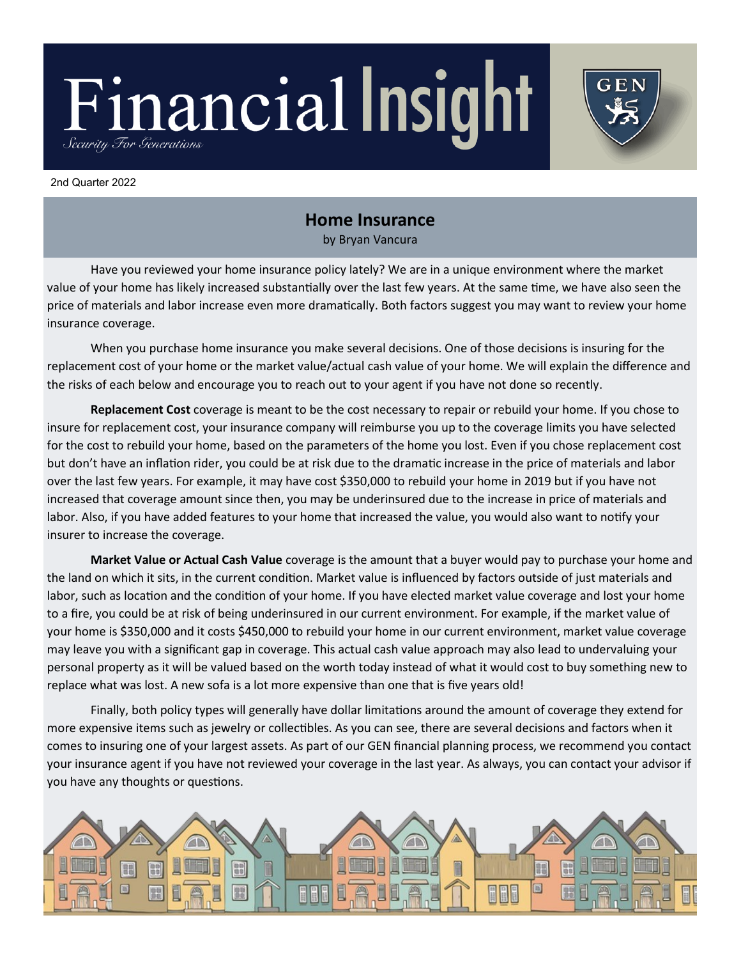# Financial Insight Security For Generations

#### 2nd Quarter 2022

## **Home Insurance**

 $\mathsf{G}\,\mathsf{E}\,\mathsf{N}$ 

by Bryan Vancura

Have you reviewed your home insurance policy lately? We are in a unique environment where the market value of your home has likely increased substantially over the last few years. At the same time, we have also seen the price of materials and labor increase even more dramatically. Both factors suggest you may want to review your home insurance coverage.

When you purchase home insurance you make several decisions. One of those decisions is insuring for the replacement cost of your home or the market value/actual cash value of your home. We will explain the difference and the risks of each below and encourage you to reach out to your agent if you have not done so recently.

**Replacement Cost** coverage is meant to be the cost necessary to repair or rebuild your home. If you chose to insure for replacement cost, your insurance company will reimburse you up to the coverage limits you have selected for the cost to rebuild your home, based on the parameters of the home you lost. Even if you chose replacement cost but don't have an inflation rider, you could be at risk due to the dramatic increase in the price of materials and labor over the last few years. For example, it may have cost \$350,000 to rebuild your home in 2019 but if you have not increased that coverage amount since then, you may be underinsured due to the increase in price of materials and labor. Also, if you have added features to your home that increased the value, you would also want to notify your insurer to increase the coverage.

**Market Value or Actual Cash Value** coverage is the amount that a buyer would pay to purchase your home and the land on which it sits, in the current condition. Market value is influenced by factors outside of just materials and labor, such as location and the condition of your home. If you have elected market value coverage and lost your home to a fire, you could be at risk of being underinsured in our current environment. For example, if the market value of your home is \$350,000 and it costs \$450,000 to rebuild your home in our current environment, market value coverage may leave you with a significant gap in coverage. This actual cash value approach may also lead to undervaluing your personal property as it will be valued based on the worth today instead of what it would cost to buy something new to replace what was lost. A new sofa is a lot more expensive than one that is five years old!

Finally, both policy types will generally have dollar limitations around the amount of coverage they extend for more expensive items such as jewelry or collectibles. As you can see, there are several decisions and factors when it comes to insuring one of your largest assets. As part of our GEN financial planning process, we recommend you contact your insurance agent if you have not reviewed your coverage in the last year. As always, you can contact your advisor if you have any thoughts or questions.